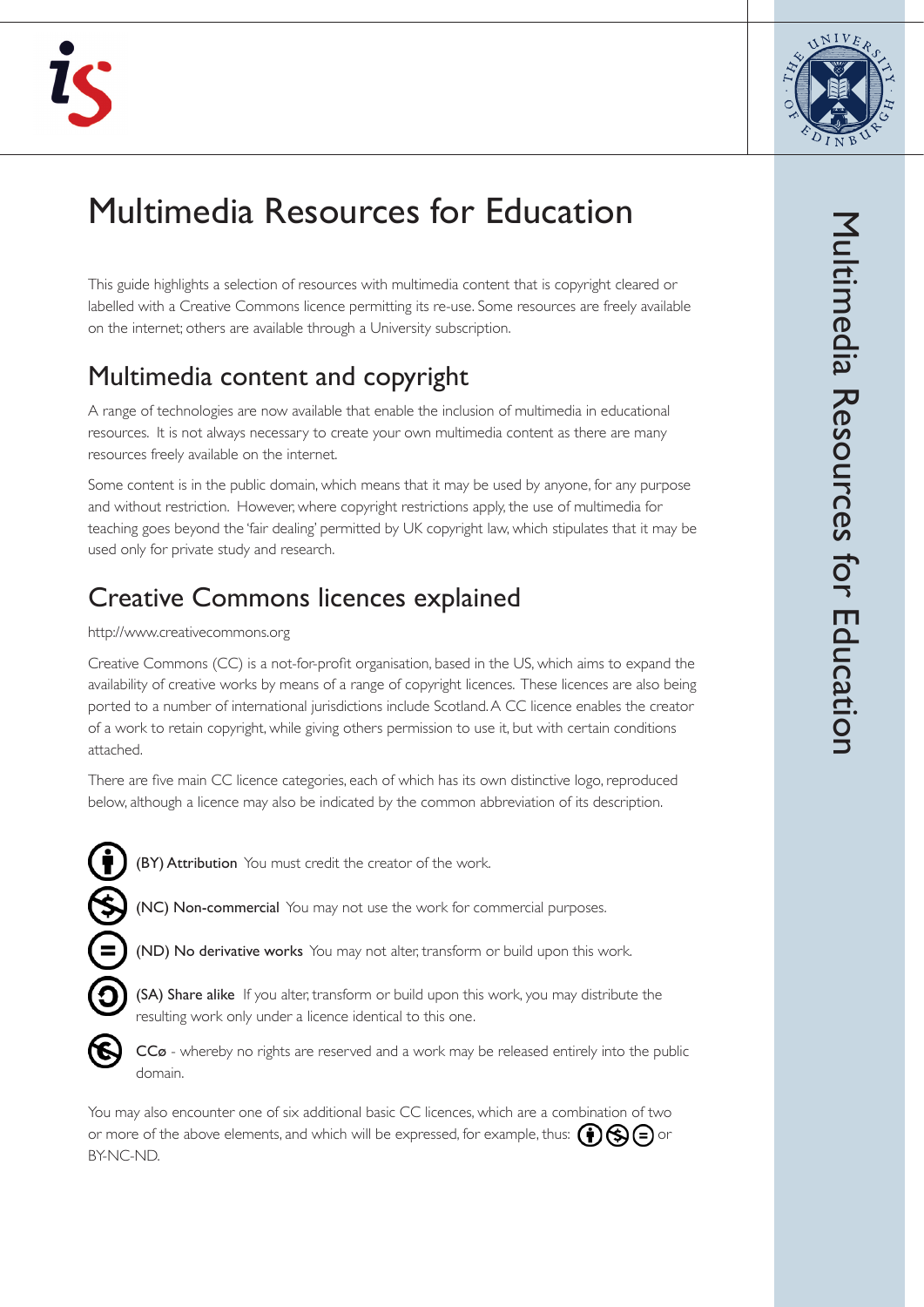



# Multimedia Resources for Education

This guide highlights a selection of resources with multimedia content that is copyright cleared or labelled with a Creative Commons licence permitting its re-use. Some resources are freely available on the internet; others are available through a University subscription.

## Multimedia content and copyright

A range of technologies are now available that enable the inclusion of multimedia in educational resources. It is not always necessary to create your own multimedia content as there are many resources freely available on the internet.

Some content is in the public domain, which means that it may be used by anyone, for any purpose and without restriction. However, where copyright restrictions apply, the use of multimedia for teaching goes beyond the 'fair dealing' permitted by UK copyright law, which stipulates that it may be used only for private study and research.

# Creative Commons licences explained

#### http://www.creativecommons.org

Creative Commons (CC) is a not-for-profit organisation, based in the US, which aims to expand the availability of creative works by means of a range of copyright licences. These licences are also being ported to a number of international jurisdictions include Scotland. A CC licence enables the creator of a work to retain copyright, while giving others permission to use it, but with certain conditions attached.

There are five main CC licence categories, each of which has its own distinctive logo, reproduced below, although a licence may also be indicated by the common abbreviation of its description.



(BY) Attribution You must credit the creator of the work.

(NC) Non-commercial You may not use the work for commercial purposes.





(SA) Share alike If you alter, transform or build upon this work, you may distribute the resulting work only under a licence identical to this one.



CCø - whereby no rights are reserved and a work may be released entirely into the public domain.

You may also encounter one of six additional basic CC licences, which are a combination of two or more of the above elements, and which will be expressed, for example, thus:  $\bigcirc$   $\bigcirc$   $\bigcirc$   $\bigcirc$ BY-NC-ND.